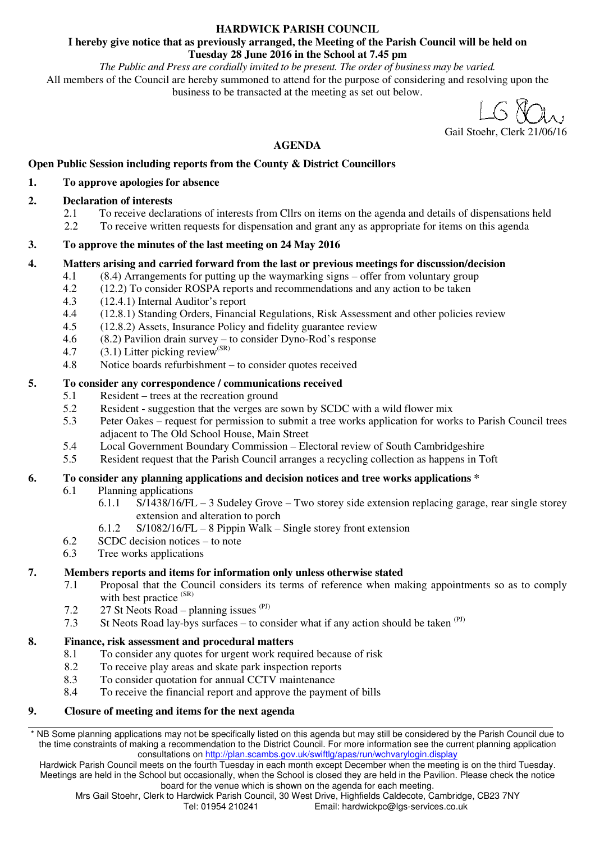#### **HARDWICK PARISH COUNCIL**

#### **I hereby give notice that as previously arranged, the Meeting of the Parish Council will be held on Tuesday 28 June 2016 in the School at 7.45 pm**

*The Public and Press are cordially invited to be present. The order of business may be varied.*  All members of the Council are hereby summoned to attend for the purpose of considering and resolving upon the business to be transacted at the meeting as set out below.

#### Gail Stoehr, Clerk 21/06/16

# **AGENDA**

# **Open Public Session including reports from the County & District Councillors**

#### **1. To approve apologies for absence**

## **2. Declaration of interests**

- 2.1 To receive declarations of interests from Cllrs on items on the agenda and details of dispensations held<br>2.2 To receive written requests for dispensation and grant any as appropriate for items on this agenda
- 2.2 To receive written requests for dispensation and grant any as appropriate for items on this agenda

# **3. To approve the minutes of the last meeting on 24 May 2016**

# **4. Matters arising and carried forward from the last or previous meetings for discussion/decision**

- 4.1 (8.4) Arrangements for putting up the waymarking signs offer from voluntary group
- 4.2 (12.2) To consider ROSPA reports and recommendations and any action to be taken
- 4.3 (12.4.1) Internal Auditor's report
- 4.4 (12.8.1) Standing Orders, Financial Regulations, Risk Assessment and other policies review
- 4.5 (12.8.2) Assets, Insurance Policy and fidelity guarantee review
- 4.6 (8.2) Pavilion drain survey to consider Dyno-Rod's response
- 4.7 (3.1) Litter picking review<sup>(SR)</sup>
- 4.8 Notice boards refurbishment to consider quotes received

# **5. To consider any correspondence / communications received**

- 5.1 Resident trees at the recreation ground
- 5.2 Resident suggestion that the verges are sown by SCDC with a wild flower mix
- 5.3 Peter Oakes request for permission to submit a tree works application for works to Parish Council trees adjacent to The Old School House, Main Street
- 5.4 Local Government Boundary Commission Electoral review of South Cambridgeshire
- 5.5 Resident request that the Parish Council arranges a recycling collection as happens in Toft

# **6. To consider any planning applications and decision notices and tree works applications \***

- 6.1 Planning applications
	- 6.1.1 S/1438/16/FL 3 Sudeley Grove Two storey side extension replacing garage, rear single storey extension and alteration to porch
		- 6.1.2 S/1082/16/FL 8 Pippin Walk Single storey front extension
- 6.2 SCDC decision notices to note
- 6.3 Tree works applications

# **7. Members reports and items for information only unless otherwise stated**

- 7.1 Proposal that the Council considers its terms of reference when making appointments so as to comply with best practice (SR)
- 7.2 27 St Neots Road planning issues  $(PJ)$
- 7.3 St Neots Road lay-bys surfaces to consider what if any action should be taken  $(P<sup>J</sup>)$

#### **8. Finance, risk assessment and procedural matters**

- 8.1 To consider any quotes for urgent work required because of risk
- 8.2 To receive play areas and skate park inspection reports
- 8.3 To consider quotation for annual CCTV maintenance
- 8.4 To receive the financial report and approve the payment of bills

#### **9. Closure of meeting and items for the next agenda**

\* NB Some planning applications may not be specifically listed on this agenda but may still be considered by the Parish Council due to the time constraints of making a recommendation to the District Council. For more information see the current planning application consultations on http://plan.scambs.gov.uk/swiftlg/apas/run/wchvarylogin.display

Hardwick Parish Council meets on the fourth Tuesday in each month except December when the meeting is on the third Tuesday. Meetings are held in the School but occasionally, when the School is closed they are held in the Pavilion. Please check the notice board for the venue which is shown on the agenda for each meeting.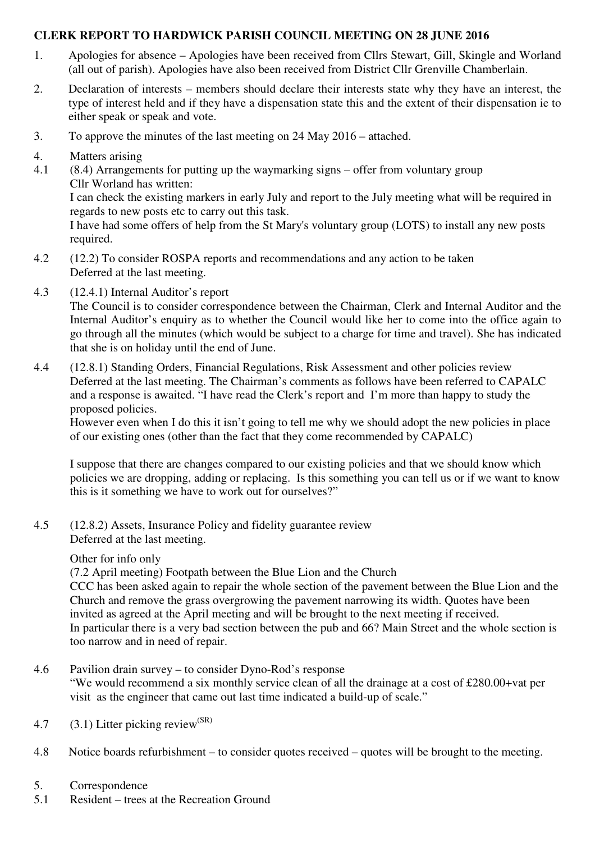# **CLERK REPORT TO HARDWICK PARISH COUNCIL MEETING ON 28 JUNE 2016**

- 1. Apologies for absence Apologies have been received from Cllrs Stewart, Gill, Skingle and Worland (all out of parish). Apologies have also been received from District Cllr Grenville Chamberlain.
- 2. Declaration of interests members should declare their interests state why they have an interest, the type of interest held and if they have a dispensation state this and the extent of their dispensation ie to either speak or speak and vote.
- 3. To approve the minutes of the last meeting on 24 May 2016 attached.
- 4. Matters arising
- 4.1 (8.4) Arrangements for putting up the waymarking signs offer from voluntary group Cllr Worland has written:

I can check the existing markers in early July and report to the July meeting what will be required in regards to new posts etc to carry out this task.

I have had some offers of help from the St Mary's voluntary group (LOTS) to install any new posts required.

- 4.2 (12.2) To consider ROSPA reports and recommendations and any action to be taken Deferred at the last meeting.
- 4.3 (12.4.1) Internal Auditor's report

The Council is to consider correspondence between the Chairman, Clerk and Internal Auditor and the Internal Auditor's enquiry as to whether the Council would like her to come into the office again to go through all the minutes (which would be subject to a charge for time and travel). She has indicated that she is on holiday until the end of June.

4.4 (12.8.1) Standing Orders, Financial Regulations, Risk Assessment and other policies review Deferred at the last meeting. The Chairman's comments as follows have been referred to CAPALC and a response is awaited. "I have read the Clerk's report and I'm more than happy to study the proposed policies.

However even when I do this it isn't going to tell me why we should adopt the new policies in place of our existing ones (other than the fact that they come recommended by CAPALC)

I suppose that there are changes compared to our existing policies and that we should know which policies we are dropping, adding or replacing. Is this something you can tell us or if we want to know this is it something we have to work out for ourselves?"

4.5 (12.8.2) Assets, Insurance Policy and fidelity guarantee review Deferred at the last meeting.

# Other for info only

(7.2 April meeting) Footpath between the Blue Lion and the Church

CCC has been asked again to repair the whole section of the pavement between the Blue Lion and the Church and remove the grass overgrowing the pavement narrowing its width. Quotes have been invited as agreed at the April meeting and will be brought to the next meeting if received. In particular there is a very bad section between the pub and 66? Main Street and the whole section is too narrow and in need of repair.

4.6 Pavilion drain survey – to consider Dyno-Rod's response

"We would recommend a six monthly service clean of all the drainage at a cost of £280.00+vat per visit as the engineer that came out last time indicated a build-up of scale."

- 4.7 (3.1) Litter picking review<sup>(SR)</sup>
- 4.8 Notice boards refurbishment to consider quotes received quotes will be brought to the meeting.
- 5. Correspondence
- 5.1 Resident trees at the Recreation Ground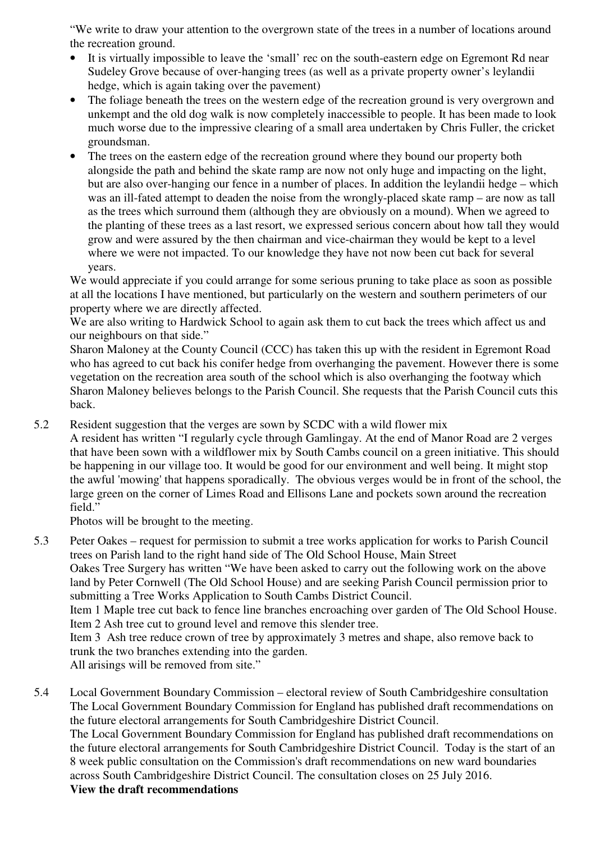"We write to draw your attention to the overgrown state of the trees in a number of locations around the recreation ground.

- It is virtually impossible to leave the 'small' rec on the south-eastern edge on Egremont Rd near Sudeley Grove because of over-hanging trees (as well as a private property owner's leylandii hedge, which is again taking over the pavement)
- The foliage beneath the trees on the western edge of the recreation ground is very overgrown and unkempt and the old dog walk is now completely inaccessible to people. It has been made to look much worse due to the impressive clearing of a small area undertaken by Chris Fuller, the cricket groundsman.
- The trees on the eastern edge of the recreation ground where they bound our property both alongside the path and behind the skate ramp are now not only huge and impacting on the light, but are also over-hanging our fence in a number of places. In addition the leylandii hedge – which was an ill-fated attempt to deaden the noise from the wrongly-placed skate ramp – are now as tall as the trees which surround them (although they are obviously on a mound). When we agreed to the planting of these trees as a last resort, we expressed serious concern about how tall they would grow and were assured by the then chairman and vice-chairman they would be kept to a level where we were not impacted. To our knowledge they have not now been cut back for several years.

We would appreciate if you could arrange for some serious pruning to take place as soon as possible at all the locations I have mentioned, but particularly on the western and southern perimeters of our property where we are directly affected.

We are also writing to Hardwick School to again ask them to cut back the trees which affect us and our neighbours on that side."

Sharon Maloney at the County Council (CCC) has taken this up with the resident in Egremont Road who has agreed to cut back his conifer hedge from overhanging the pavement. However there is some vegetation on the recreation area south of the school which is also overhanging the footway which Sharon Maloney believes belongs to the Parish Council. She requests that the Parish Council cuts this back.

5.2 Resident suggestion that the verges are sown by SCDC with a wild flower mix

A resident has written "I regularly cycle through Gamlingay. At the end of Manor Road are 2 verges that have been sown with a wildflower mix by South Cambs council on a green initiative. This should be happening in our village too. It would be good for our environment and well being. It might stop the awful 'mowing' that happens sporadically. The obvious verges would be in front of the school, the large green on the corner of Limes Road and Ellisons Lane and pockets sown around the recreation field."

Photos will be brought to the meeting.

5.3 Peter Oakes – request for permission to submit a tree works application for works to Parish Council trees on Parish land to the right hand side of The Old School House, Main Street Oakes Tree Surgery has written "We have been asked to carry out the following work on the above land by Peter Cornwell (The Old School House) and are seeking Parish Council permission prior to submitting a Tree Works Application to South Cambs District Council. Item 1 Maple tree cut back to fence line branches encroaching over garden of The Old School House. Item 2 Ash tree cut to ground level and remove this slender tree. Item 3 Ash tree reduce crown of tree by approximately 3 metres and shape, also remove back to trunk the two branches extending into the garden.

All arisings will be removed from site."

5.4 Local Government Boundary Commission – electoral review of South Cambridgeshire consultation The Local Government Boundary Commission for England has published draft recommendations on the future electoral arrangements for South Cambridgeshire District Council.

The Local Government Boundary Commission for England has published draft recommendations on the future electoral arrangements for South Cambridgeshire District Council. Today is the start of an 8 week public consultation on the Commission's draft recommendations on new ward boundaries across South Cambridgeshire District Council. The consultation closes on 25 July 2016. **View the draft recommendations**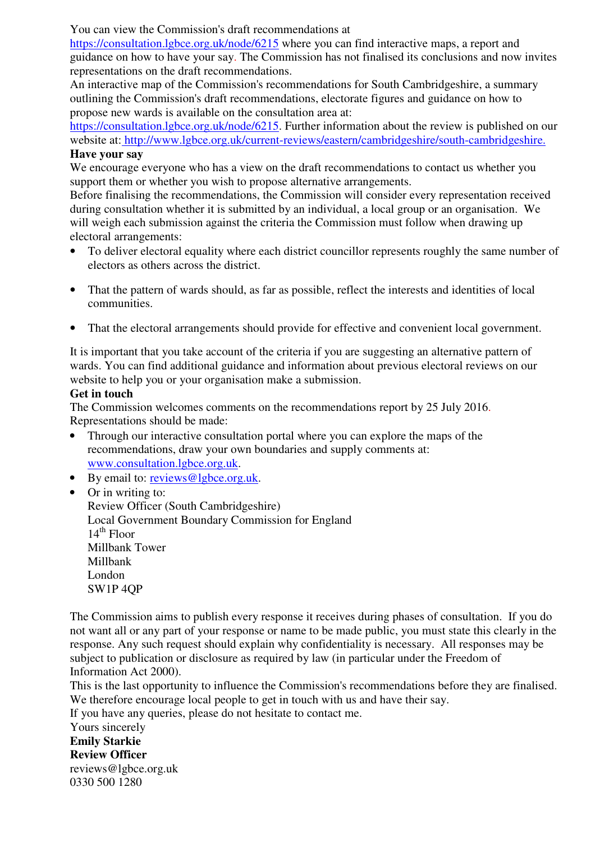You can view the Commission's draft recommendations at

https://consultation.lgbce.org.uk/node/6215 where you can find interactive maps, a report and guidance on how to have your say. The Commission has not finalised its conclusions and now invites representations on the draft recommendations.

An interactive map of the Commission's recommendations for South Cambridgeshire, a summary outlining the Commission's draft recommendations, electorate figures and guidance on how to propose new wards is available on the consultation area at:

https://consultation.lgbce.org.uk/node/6215. Further information about the review is published on our website at: http://www.lgbce.org.uk/current-reviews/eastern/cambridgeshire/south-cambridgeshire. **Have your say**

We encourage everyone who has a view on the draft recommendations to contact us whether you support them or whether you wish to propose alternative arrangements.

Before finalising the recommendations, the Commission will consider every representation received during consultation whether it is submitted by an individual, a local group or an organisation. We will weigh each submission against the criteria the Commission must follow when drawing up electoral arrangements:

- To deliver electoral equality where each district councillor represents roughly the same number of electors as others across the district.
- That the pattern of wards should, as far as possible, reflect the interests and identities of local communities.
- That the electoral arrangements should provide for effective and convenient local government.

It is important that you take account of the criteria if you are suggesting an alternative pattern of wards. You can find additional guidance and information about previous electoral reviews on our website to help you or your organisation make a submission.

# **Get in touch**

The Commission welcomes comments on the recommendations report by 25 July 2016. Representations should be made:

- Through our interactive consultation portal where you can explore the maps of the recommendations, draw your own boundaries and supply comments at: www.consultation.lgbce.org.uk.
- By email to: reviews@lgbce.org.uk.
- Or in writing to:

Review Officer (South Cambridgeshire) Local Government Boundary Commission for England  $14^{\text{th}}$  Floor Millbank Tower Millbank London SW1P 4QP

The Commission aims to publish every response it receives during phases of consultation. If you do not want all or any part of your response or name to be made public, you must state this clearly in the response. Any such request should explain why confidentiality is necessary. All responses may be subject to publication or disclosure as required by law (in particular under the Freedom of Information Act 2000).

This is the last opportunity to influence the Commission's recommendations before they are finalised. We therefore encourage local people to get in touch with us and have their say.

If you have any queries, please do not hesitate to contact me.

Yours sincerely **Emily Starkie Review Officer**  reviews@lgbce.org.uk 0330 500 1280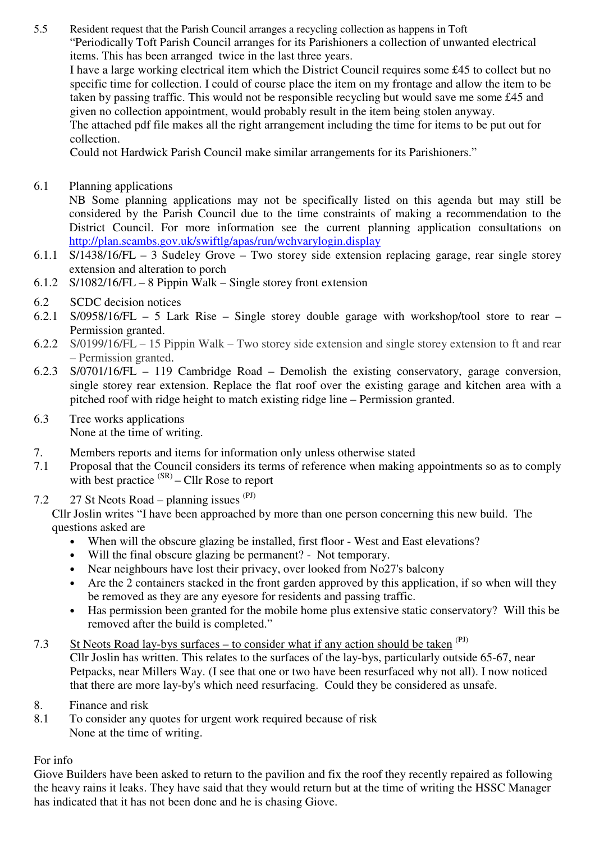5.5 Resident request that the Parish Council arranges a recycling collection as happens in Toft "Periodically Toft Parish Council arranges for its Parishioners a collection of unwanted electrical items. This has been arranged twice in the last three years.

I have a large working electrical item which the District Council requires some £45 to collect but no specific time for collection. I could of course place the item on my frontage and allow the item to be taken by passing traffic. This would not be responsible recycling but would save me some £45 and given no collection appointment, would probably result in the item being stolen anyway. The attached pdf file makes all the right arrangement including the time for items to be put out for collection.

Could not Hardwick Parish Council make similar arrangements for its Parishioners."

6.1 Planning applications

NB Some planning applications may not be specifically listed on this agenda but may still be considered by the Parish Council due to the time constraints of making a recommendation to the District Council. For more information see the current planning application consultations on http://plan.scambs.gov.uk/swiftlg/apas/run/wchvarylogin.display

- 6.1.1 S/1438/16/FL 3 Sudeley Grove Two storey side extension replacing garage, rear single storey extension and alteration to porch
- 6.1.2 S/1082/16/FL 8 Pippin Walk Single storey front extension
- 6.2 SCDC decision notices
- 6.2.1 S/0958/16/FL 5 Lark Rise Single storey double garage with workshop/tool store to rear Permission granted.
- 6.2.2 S/0199/16/FL 15 Pippin Walk Two storey side extension and single storey extension to ft and rear – Permission granted.
- 6.2.3 S/0701/16/FL 119 Cambridge Road Demolish the existing conservatory, garage conversion, single storey rear extension. Replace the flat roof over the existing garage and kitchen area with a pitched roof with ridge height to match existing ridge line – Permission granted.
- 6.3 Tree works applications None at the time of writing.
- 7. Members reports and items for information only unless otherwise stated
- 7.1 Proposal that the Council considers its terms of reference when making appointments so as to comply with best practice  $(SR)$  – Cllr Rose to report
- 7.2 27 St Neots Road planning issues  $(PJ)$

Cllr Joslin writes "I have been approached by more than one person concerning this new build. The questions asked are

- When will the obscure glazing be installed, first floor West and East elevations?
- Will the final obscure glazing be permanent? Not temporary.
- Near neighbours have lost their privacy, over looked from No27's balcony
- Are the 2 containers stacked in the front garden approved by this application, if so when will they be removed as they are any eyesore for residents and passing traffic.
- Has permission been granted for the mobile home plus extensive static conservatory? Will this be removed after the build is completed."
- 7.3 St Neots Road lay-bys surfaces to consider what if any action should be taken  $(PJ)$ Cllr Joslin has written. This relates to the surfaces of the lay-bys, particularly outside 65-67, near Petpacks, near Millers Way. (I see that one or two have been resurfaced why not all). I now noticed that there are more lay-by's which need resurfacing. Could they be considered as unsafe.
- 8. Finance and risk
- 8.1 To consider any quotes for urgent work required because of risk None at the time of writing.

For info

Giove Builders have been asked to return to the pavilion and fix the roof they recently repaired as following the heavy rains it leaks. They have said that they would return but at the time of writing the HSSC Manager has indicated that it has not been done and he is chasing Giove.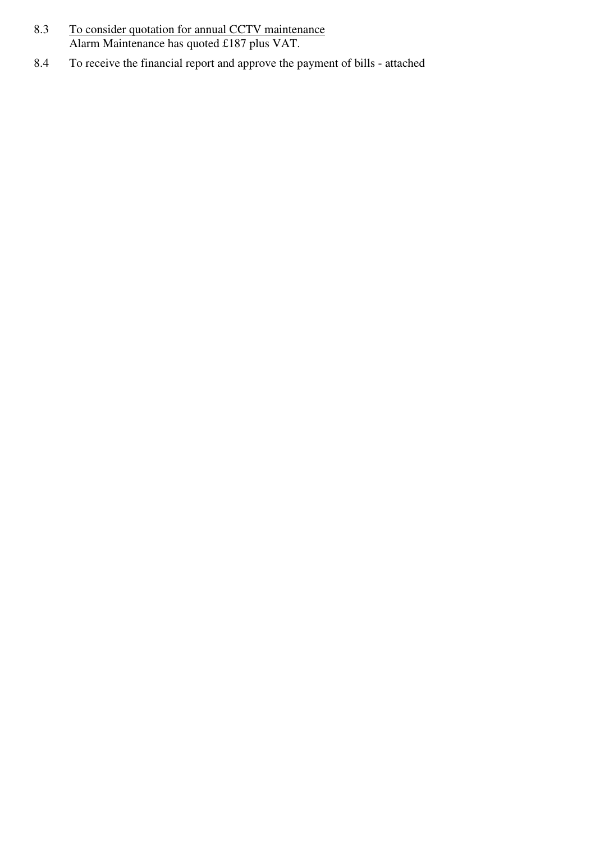- 8.3 To consider quotation for annual CCTV maintenance Alarm Maintenance has quoted £187 plus VAT.
- 8.4 To receive the financial report and approve the payment of bills attached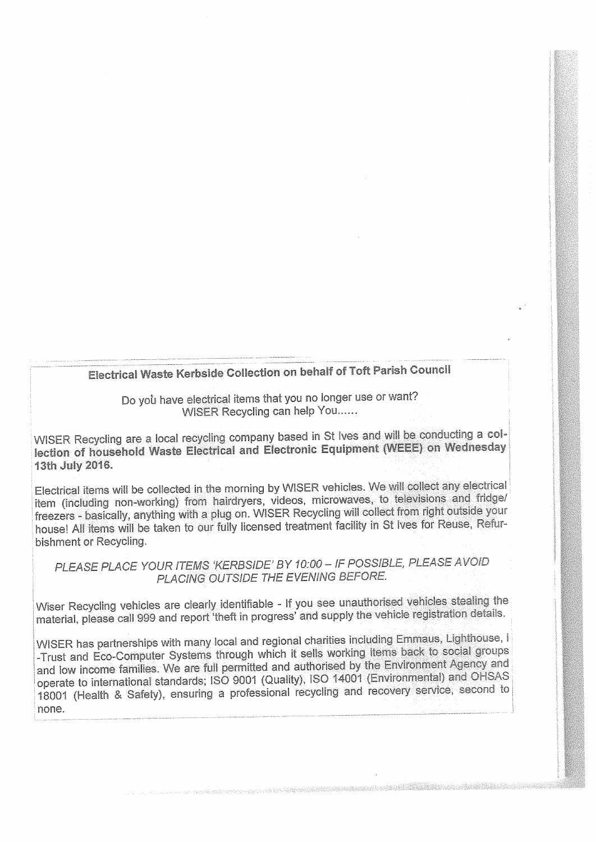# Electrical Waste Kerbside Collection on behalf of Toft Parish Council

Do you have electrical items that you no longer use or want? WISER Recycling can help You......

WISER Recycling are a local recycling company based in St Ives and will be conducting a collection of household Waste Electrical and Electronic Equipment (WEEE) on Wednesday 13th July 2016.

Electrical items will be collected in the morning by WISER vehicles. We will collect any electrical item (including non-working) from hairdryers, videos, microwaves, to televisions and fridge/ freezers - basically, anything with a plug on. WISER Recycling will collect from right outside your house! All items will be taken to our fully licensed treatment facility in St Ives for Reuse, Refurbishment or Recycling.

PLEASE PLACE YOUR ITEMS 'KERBSIDE' BY 10:00 - IF POSSIBLE, PLEASE AVOID PLACING OUTSIDE THE EVENING BEFORE.

Wiser Recycling vehicles are clearly identifiable - If you see unauthorised vehicles stealing the material, please call 999 and report theft in progress' and supply the vehicle registration details.

WISER has partnerships with many local and regional charities including Emmaus, Lighthouse, i -Trust and Eco-Computer Systems through which it sells working items back to social groups and low income families. We are full permitted and authorised by the Environment Agency and operate to international standards; ISO 9001 (Quality), ISO 14001 (Environmental) and OHSAS 18001 (Health & Safety), ensuring a professional recycling and recovery service, second to none.